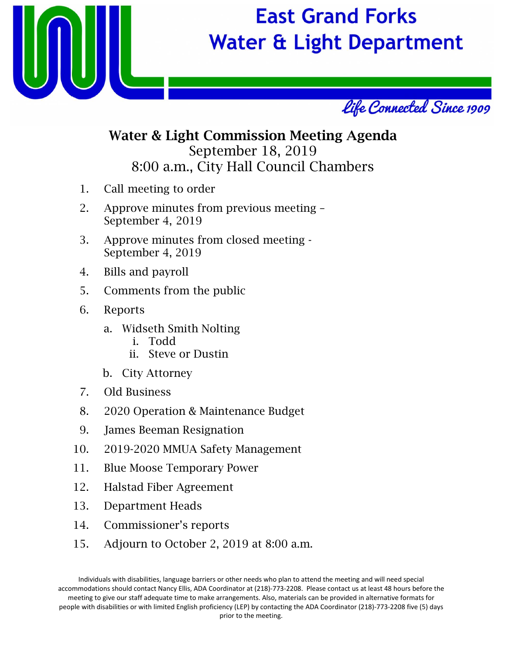

# **East Grand Forks Water & Light Department**



## Water & Light Commission Meeting Agenda September 18, 2019 8:00 a.m., City Hall Council Chambers

- 1. Call meeting to order
- 2. Approve minutes from previous meeting September 4, 2019
- 3. Approve minutes from closed meeting September 4, 2019
- 4. Bills and payroll
- 5. Comments from the public
- 6. Reports
	- a. Widseth Smith Nolting
		- i. Todd
		- ii. Steve or Dustin
	- b. City Attorney
- 7. Old Business
- 8. 2020 Operation & Maintenance Budget
- 9. James Beeman Resignation
- 10. 2019-2020 MMUA Safety Management
- 11. Blue Moose Temporary Power
- 12. Halstad Fiber Agreement
- 13. Department Heads
- 14. Commissioner's reports
- 15. Adjourn to October 2, 2019 at 8:00 a.m.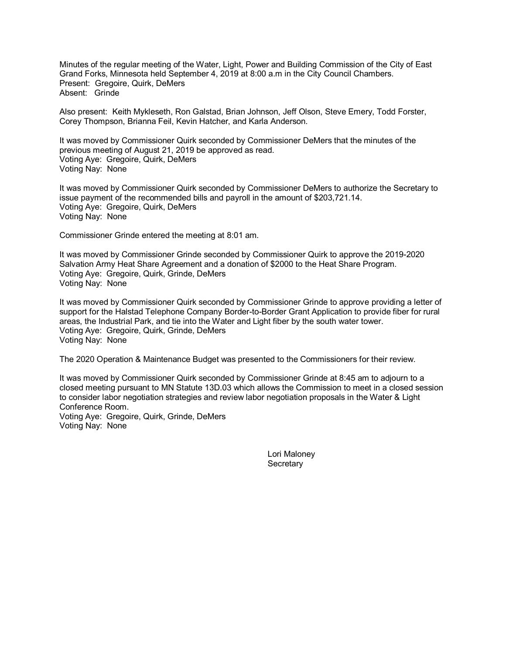Minutes of the regular meeting of the Water, Light, Power and Building Commission of the City of East Grand Forks, Minnesota held September 4, 2019 at 8:00 a.m in the City Council Chambers. Present: Gregoire, Quirk, DeMers Absent: Grinde

Also present: Keith Mykleseth, Ron Galstad, Brian Johnson, Jeff Olson, Steve Emery, Todd Forster, Corey Thompson, Brianna Feil, Kevin Hatcher, and Karla Anderson.

It was moved by Commissioner Quirk seconded by Commissioner DeMers that the minutes of the previous meeting of August 21, 2019 be approved as read. Voting Aye: Gregoire, Quirk, DeMers Voting Nay: None

It was moved by Commissioner Quirk seconded by Commissioner DeMers to authorize the Secretary to issue payment of the recommended bills and payroll in the amount of \$203,721.14. Voting Aye: Gregoire, Quirk, DeMers Voting Nay: None

Commissioner Grinde entered the meeting at 8:01 am.

It was moved by Commissioner Grinde seconded by Commissioner Quirk to approve the 2019-2020 Salvation Army Heat Share Agreement and a donation of \$2000 to the Heat Share Program. Voting Aye: Gregoire, Quirk, Grinde, DeMers Voting Nay: None

It was moved by Commissioner Quirk seconded by Commissioner Grinde to approve providing a letter of support for the Halstad Telephone Company Border-to-Border Grant Application to provide fiber for rural areas, the Industrial Park, and tie into the Water and Light fiber by the south water tower. Voting Aye: Gregoire, Quirk, Grinde, DeMers Voting Nay: None

The 2020 Operation & Maintenance Budget was presented to the Commissioners for their review.

It was moved by Commissioner Quirk seconded by Commissioner Grinde at 8:45 am to adjourn to a closed meeting pursuant to MN Statute 13D.03 which allows the Commission to meet in a closed session to consider labor negotiation strategies and review labor negotiation proposals in the Water & Light Conference Room. Voting Aye: Gregoire, Quirk, Grinde, DeMers Voting Nay: None

> Lori Maloney **Secretary**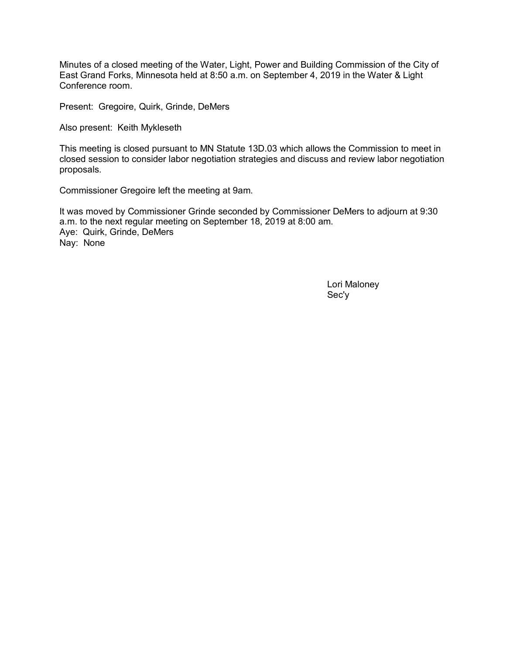Minutes of a closed meeting of the Water, Light, Power and Building Commission of the City of East Grand Forks, Minnesota held at 8:50 a.m. on September 4, 2019 in the Water & Light Conference room.

Present: Gregoire, Quirk, Grinde, DeMers

Also present: Keith Mykleseth

This meeting is closed pursuant to MN Statute 13D.03 which allows the Commission to meet in closed session to consider labor negotiation strategies and discuss and review labor negotiation proposals.

Commissioner Gregoire left the meeting at 9am.

It was moved by Commissioner Grinde seconded by Commissioner DeMers to adjourn at 9:30 a.m. to the next regular meeting on September 18, 2019 at 8:00 am. Aye: Quirk, Grinde, DeMers Nay: None

> Lori Maloney Sec'y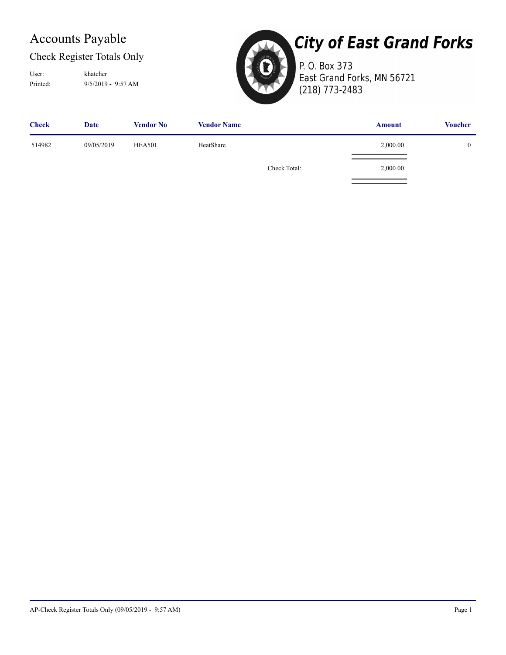### Check Register Totals Only

Printed: 9/5/2019 - 9:57 AM User: khatcher



## **City of East Grand Forks**

P. O. Box 373 East Grand Forks, MN 56721 (218) 773-2483

| <b>Check</b> | Date       | <b>Vendor No</b> | <b>Vendor Name</b> |              | <b>Amount</b> | <b>Voucher</b> |
|--------------|------------|------------------|--------------------|--------------|---------------|----------------|
| 514982       | 09/05/2019 | <b>HEA501</b>    | HeatShare          |              | 2,000.00      |                |
|              |            |                  |                    | Check Total: | 2,000.00      |                |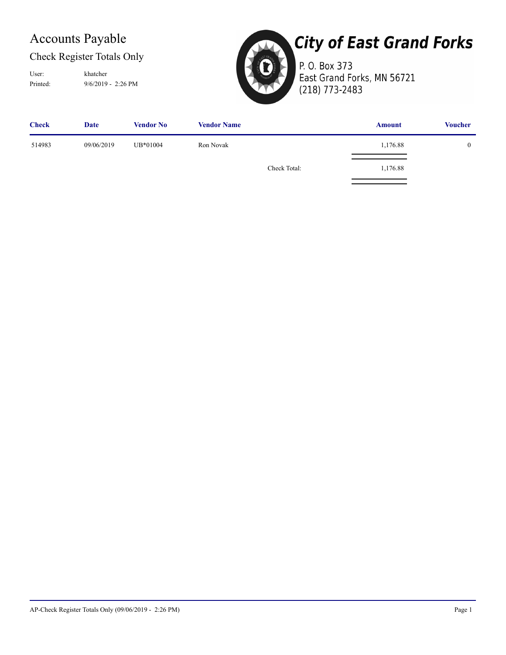### Check Register Totals Only

Printed: 9/6/2019 - 2:26 PM User: khatcher



# **City of East Grand Forks**

P. O. Box 373 East Grand Forks, MN 56721 (218) 773-2483

| <b>Check</b> | <b>Date</b> | <b>Vendor No</b> | <b>Vendor Name</b> |              | <b>Amount</b> | <b>Voucher</b> |
|--------------|-------------|------------------|--------------------|--------------|---------------|----------------|
| 514983       | 09/06/2019  | UB*01004         | Ron Novak          |              | 1,176.88      | $\mathbf{0}$   |
|              |             |                  |                    | Check Total: | 1,176.88      |                |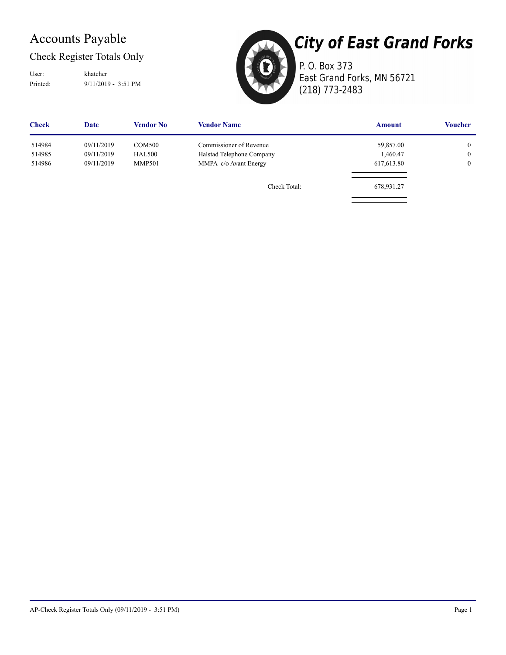### Check Register Totals Only

User: khatcher

Printed: 9/11/2019 - 3:51 PM



**City of East Grand Forks** P. O. Box 373

East Grand Forks, MN 56721 (218) 773-2483

| <b>Check</b> | <b>Date</b> | Vendor No     | <b>Vendor Name</b>        | <b>Amount</b> | <b>Voucher</b> |
|--------------|-------------|---------------|---------------------------|---------------|----------------|
| 514984       | 09/11/2019  | <b>COM500</b> | Commissioner of Revenue   | 59,857.00     | $\overline{0}$ |
| 514985       | 09/11/2019  | <b>HAL500</b> | Halstad Telephone Company | 1,460.47      | $\overline{0}$ |
| 514986       | 09/11/2019  | <b>MMP501</b> | MMPA c/o Avant Energy     | 617,613.80    | $\overline{0}$ |
|              |             |               | Check Total:              | 678,931.27    |                |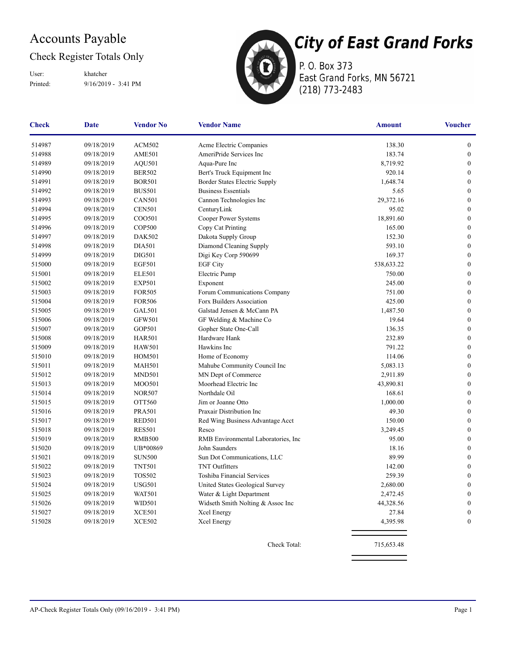### Check Register Totals Only

Printed: 9/16/2019 - 3:41 PM User: khatcher



P. O. Box 373 East Grand Forks, MN 56721 (218) 773-2483

| <b>Check</b> | <b>Date</b> | <b>Vendor No</b> | <b>Vendor Name</b>                  | <b>Amount</b> | <b>Voucher</b>   |
|--------------|-------------|------------------|-------------------------------------|---------------|------------------|
| 514987       | 09/18/2019  | <b>ACM502</b>    | Acme Electric Companies             | 138.30        | $\boldsymbol{0}$ |
| 514988       | 09/18/2019  | <b>AME501</b>    | AmeriPride Services Inc             | 183.74        | $\boldsymbol{0}$ |
| 514989       | 09/18/2019  | <b>AQU501</b>    | Aqua-Pure Inc                       | 8,719.92      | $\overline{0}$   |
| 514990       | 09/18/2019  | <b>BER502</b>    | Bert's Truck Equipment Inc          | 920.14        | $\overline{0}$   |
| 514991       | 09/18/2019  | <b>BOR501</b>    | Border States Electric Supply       | 1,648.74      | $\boldsymbol{0}$ |
| 514992       | 09/18/2019  | <b>BUS501</b>    | <b>Business Essentials</b>          | 5.65          | $\boldsymbol{0}$ |
| 514993       | 09/18/2019  | <b>CAN501</b>    | Cannon Technologies Inc             | 29,372.16     | $\boldsymbol{0}$ |
| 514994       | 09/18/2019  | <b>CEN501</b>    | CenturyLink                         | 95.02         | $\mathbf{0}$     |
| 514995       | 09/18/2019  | COO501           | Cooper Power Systems                | 18,891.60     | $\boldsymbol{0}$ |
| 514996       | 09/18/2019  | <b>COP500</b>    | Copy Cat Printing                   | 165.00        | $\boldsymbol{0}$ |
| 514997       | 09/18/2019  | <b>DAK502</b>    | Dakota Supply Group                 | 152.30        | $\overline{0}$   |
| 514998       | 09/18/2019  | <b>DIA501</b>    | Diamond Cleaning Supply             | 593.10        | $\boldsymbol{0}$ |
| 514999       | 09/18/2019  | <b>DIG501</b>    | Digi Key Corp 590699                | 169.37        | $\boldsymbol{0}$ |
| 515000       | 09/18/2019  | <b>EGF501</b>    | <b>EGF City</b>                     | 538,633.22    | $\boldsymbol{0}$ |
| 515001       | 09/18/2019  | <b>ELE501</b>    | Electric Pump                       | 750.00        | $\boldsymbol{0}$ |
| 515002       | 09/18/2019  | <b>EXP501</b>    | Exponent                            | 245.00        | $\mathbf{0}$     |
| 515003       | 09/18/2019  | <b>FOR505</b>    | Forum Communications Company        | 751.00        | $\boldsymbol{0}$ |
| 515004       | 09/18/2019  | <b>FOR506</b>    | Forx Builders Association           | 425.00        | $\boldsymbol{0}$ |
| 515005       | 09/18/2019  | <b>GAL501</b>    | Galstad Jensen & McCann PA          | 1,487.50      | $\boldsymbol{0}$ |
| 515006       | 09/18/2019  | <b>GFW501</b>    | GF Welding & Machine Co             | 19.64         | $\boldsymbol{0}$ |
| 515007       | 09/18/2019  | <b>GOP501</b>    | Gopher State One-Call               | 136.35        | $\boldsymbol{0}$ |
| 515008       | 09/18/2019  | <b>HAR501</b>    | Hardware Hank                       | 232.89        | $\boldsymbol{0}$ |
| 515009       | 09/18/2019  | <b>HAW501</b>    | Hawkins Inc                         | 791.22        | $\overline{0}$   |
| 515010       | 09/18/2019  | <b>HOM501</b>    | Home of Economy                     | 114.06        | $\boldsymbol{0}$ |
| 515011       | 09/18/2019  | <b>MAH501</b>    | Mahube Community Council Inc        | 5,083.13      | $\boldsymbol{0}$ |
| 515012       | 09/18/2019  | MND501           | MN Dept of Commerce                 | 2,911.89      | $\boldsymbol{0}$ |
| 515013       | 09/18/2019  | <b>MOO501</b>    | Moorhead Electric Inc               | 43,890.81     | $\boldsymbol{0}$ |
| 515014       | 09/18/2019  | <b>NOR507</b>    | Northdale Oil                       | 168.61        | $\boldsymbol{0}$ |
| 515015       | 09/18/2019  | OTT560           | Jim or Joanne Otto                  | 1,000.00      | $\boldsymbol{0}$ |
| 515016       | 09/18/2019  | <b>PRA501</b>    | Praxair Distribution Inc            | 49.30         | $\mathbf{0}$     |
| 515017       | 09/18/2019  | <b>RED501</b>    | Red Wing Business Advantage Acct    | 150.00        | $\boldsymbol{0}$ |
| 515018       | 09/18/2019  | <b>RES501</b>    | Resco                               | 3,249.45      | $\boldsymbol{0}$ |
| 515019       | 09/18/2019  | <b>RMB500</b>    | RMB Environmental Laboratories, Inc | 95.00         | $\boldsymbol{0}$ |
| 515020       | 09/18/2019  | UB*00869         | John Saunders                       | 18.16         | $\boldsymbol{0}$ |
| 515021       | 09/18/2019  | <b>SUN500</b>    | Sun Dot Communications, LLC         | 89.99         | $\mathbf{0}$     |
| 515022       | 09/18/2019  | <b>TNT501</b>    | <b>TNT Outfitters</b>               | 142.00        | $\boldsymbol{0}$ |
| 515023       | 09/18/2019  | <b>TOS502</b>    | Toshiba Financial Services          | 259.39        | $\mathbf{0}$     |
| 515024       | 09/18/2019  | <b>USG501</b>    | United States Geological Survey     | 2,680.00      | $\boldsymbol{0}$ |
| 515025       | 09/18/2019  | <b>WAT501</b>    | Water & Light Department            | 2,472.45      | $\boldsymbol{0}$ |
| 515026       | 09/18/2019  | WID501           | Widseth Smith Nolting & Assoc Inc   | 44,328.56     | $\boldsymbol{0}$ |
| 515027       | 09/18/2019  | <b>XCE501</b>    | Xcel Energy                         | 27.84         | $\boldsymbol{0}$ |
| 515028       | 09/18/2019  | <b>XCE502</b>    | Xcel Energy                         | 4,395.98      | $\mathbf{0}$     |
|              |             |                  |                                     |               |                  |
|              |             |                  | Check Total:                        | 715,653.48    |                  |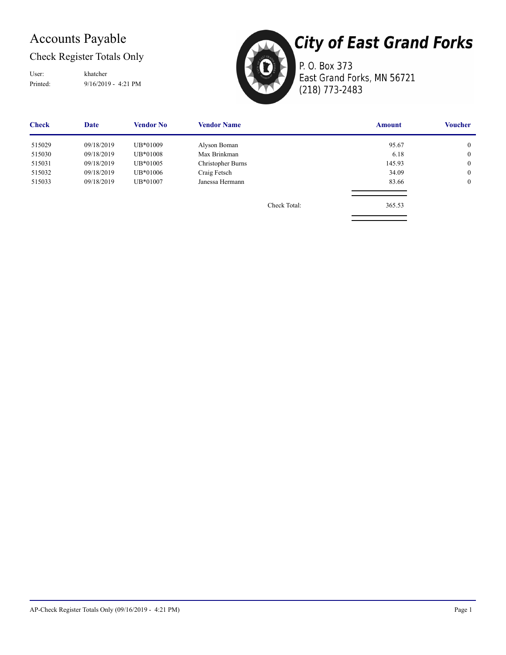### Check Register Totals Only

Printed: 9/16/2019 - 4:21 PM User: khatcher



P. O. Box 373 East Grand Forks, MN 56721 (218) 773-2483

| <b>Check</b> | Date       | <b>Vendor No</b> | <b>Vendor Name</b> |              | <b>Amount</b> | Voucher        |
|--------------|------------|------------------|--------------------|--------------|---------------|----------------|
| 515029       | 09/18/2019 | UB*01009         | Alyson Boman       |              | 95.67         | $\overline{0}$ |
| 515030       | 09/18/2019 | UB*01008         | Max Brinkman       |              | 6.18          | $\overline{0}$ |
| 515031       | 09/18/2019 | UB*01005         | Christopher Burns  |              | 145.93        | $\overline{0}$ |
| 515032       | 09/18/2019 | UB*01006         | Craig Fetsch       |              | 34.09         | $\mathbf{0}$   |
| 515033       | 09/18/2019 | UB*01007         | Janessa Hermann    |              | 83.66         | $\overline{0}$ |
|              |            |                  |                    |              |               |                |
|              |            |                  |                    | Check Total: | 365.53        |                |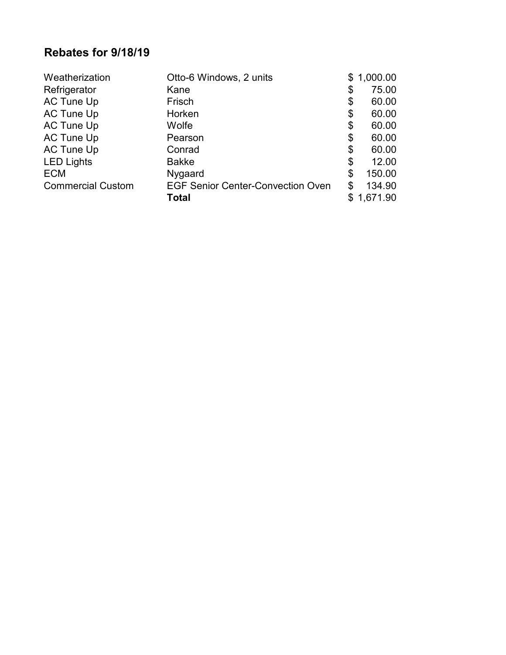### **Rebates for 9/18/19**

| Weatherization           | Otto-6 Windows, 2 units                  | \$<br>1,000.00 |
|--------------------------|------------------------------------------|----------------|
| Refrigerator             | Kane                                     | \$<br>75.00    |
| AC Tune Up               | Frisch                                   | \$<br>60.00    |
| AC Tune Up               | Horken                                   | \$<br>60.00    |
| AC Tune Up               | Wolfe                                    | \$<br>60.00    |
| AC Tune Up               | Pearson                                  | \$<br>60.00    |
| AC Tune Up               | Conrad                                   | \$<br>60.00    |
| <b>LED Lights</b>        | <b>Bakke</b>                             | \$<br>12.00    |
| <b>ECM</b>               | Nygaard                                  | \$<br>150.00   |
| <b>Commercial Custom</b> | <b>EGF Senior Center-Convection Oven</b> | \$<br>134.90   |
|                          | <b>Total</b>                             | \$<br>1,671.90 |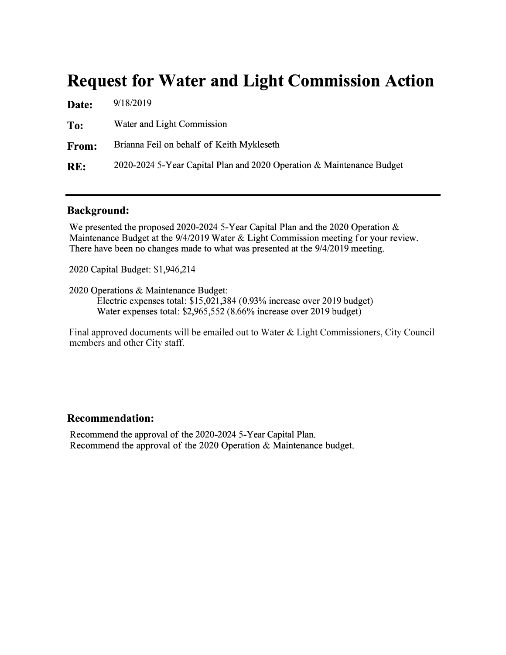## **Request for Water and Light Commission Action**

| Date:        | 9/18/2019                                                             |
|--------------|-----------------------------------------------------------------------|
| To:          | Water and Light Commission                                            |
| <b>From:</b> | Brianna Feil on behalf of Keith Mykleseth                             |
| RE:          | 2020-2024 5-Year Capital Plan and 2020 Operation & Maintenance Budget |

### **Background:**

We presented the proposed 2020-2024 5-Year Capital Plan and the 2020 Operation & Maintenance Budget at the 9/4/2019 Water & Light Commission meeting for your review. There have been no changes made to what was presented at the 9/4/2019 meeting.

2020 Capital Budget: \$1,946,214

2020 Operations & Maintenance Budget:

Electric expenses total: \$15,021,384 (0.93% increase over 2019 budget) Water expenses total: \$2,965,552 (8.66% increase over 2019 budget)

Final approved documents will be emailed out to Water & Light Commissioners, City Council members and other City staff.

### **Recommendation:**

Recommend the approval of the 2020-2024 5-Year Capital Plan. Recommend the approval of the 2020 Operation & Maintenance budget.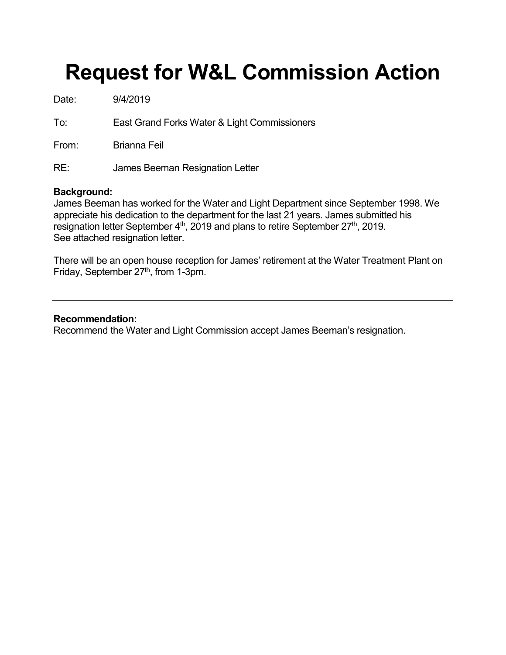# **Request for W&L Commission Action**

| Date: | 9/4/2019                                     |
|-------|----------------------------------------------|
| To:   | East Grand Forks Water & Light Commissioners |
| From: | <b>Brianna Feil</b>                          |
| RE:   | James Beeman Resignation Letter              |

### **Background:**

James Beeman has worked for the Water and Light Department since September 1998. We appreciate his dedication to the department for the last 21 years. James submitted his resignation letter September 4<sup>th</sup>, 2019 and plans to retire September 27<sup>th</sup>, 2019. See attached resignation letter.

There will be an open house reception for James' retirement at the Water Treatment Plant on Friday, September  $27<sup>th</sup>$ , from 1-3pm.

### **Recommendation:**

Recommend the Water and Light Commission accept James Beeman's resignation.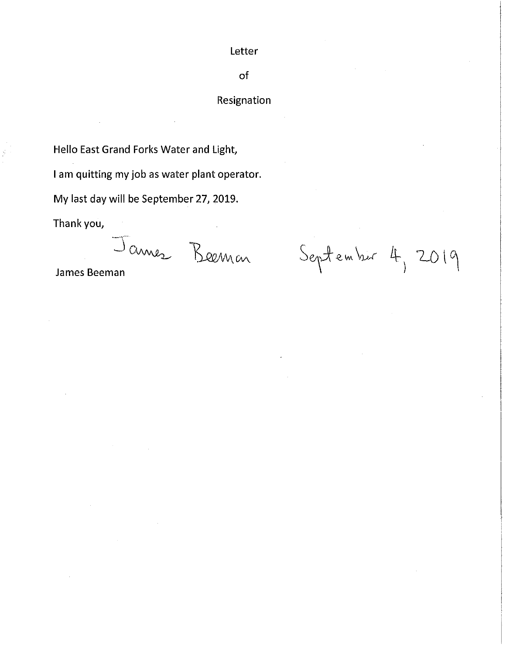### Letter

### of

### Resignation

Hello East Grand Forks Water and Light,

I am quitting my job as water plant operator.

My last day will be September 27, 2019.

Thank you,

James Beeman

September 4, 2019

James Beeman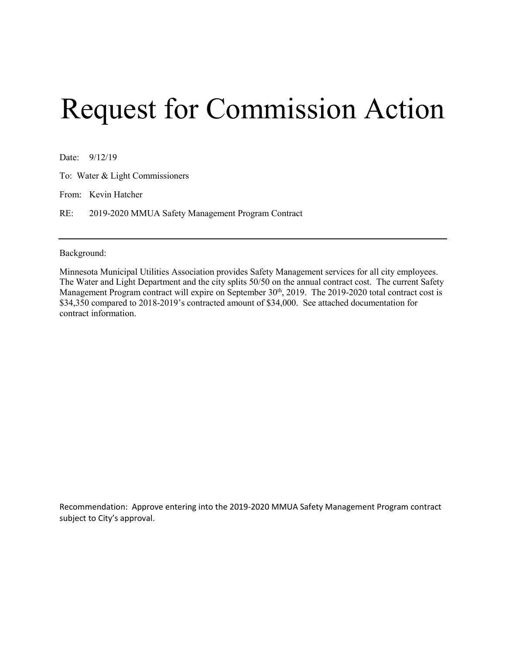# Request for Commission Action

Date: 9/12/19

To: Water & Light Commissioners

From: Kevin Hatcher

RE: 2019-2020 MMUA Safety Management Program Contract

Background:

Minnesota Municipal Utilities Association provides Safety Management services for all city employees. The Water and Light Department and the city splits 50/50 on the annual contract cost. The current Safety Management Program contract will expire on September 30<sup>th</sup>, 2019. The 2019-2020 total contract cost is \$34,350 compared to 2018-2019's contracted amount of \$34,000. See attached documentation for contract information.

Recommendation: Approve entering into the 2019-2020 MMUA Safety Management Program contract subject to City's approval.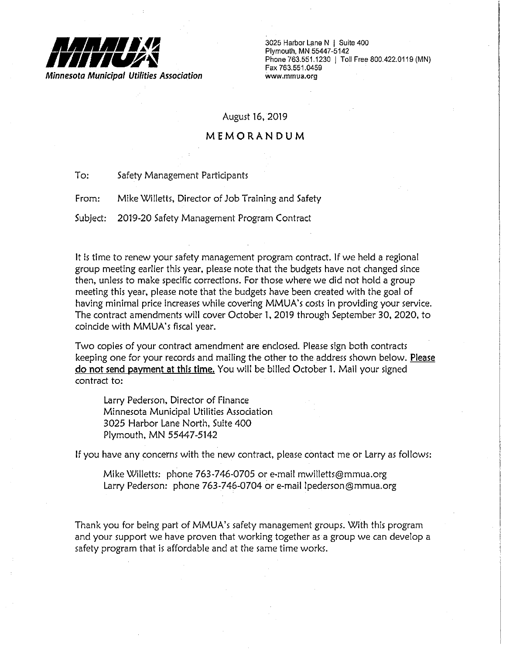

3025 Harbor Lane N | Suite 400 Plymouth, MN 55447-5142 Phone 763.551.1230 | Toll Free 800.422.0119 (MN) Fax 763.551.0459 www.mmua.org

### August 16, 2019

### MEMORANDUM

 $To:$ Safety Management Participants

From: Mike Willetts, Director of Job Training and Safety

Subject: 2019-20 Safety Management Program Contract

It is time to renew your safety management program contract. If we held a regional group meeting earlier this year, please note that the budgets have not changed since then, unless to make specific corrections. For those where we did not hold a group meeting this year, please note that the budgets have been created with the goal of having minimal price increases while covering MMUA's costs in providing your service. The contract amendments will cover October 1, 2019 through September 30, 2020, to coincide with MMUA's fiscal year.

Two copies of your contract amendment are enclosed. Please sign both contracts keeping one for your records and mailing the other to the address shown below. Please do not send payment at this time. You will be billed October 1. Mail your signed contract to:

Larry Pederson, Director of Finance Minnesota Municipal Utilities Association 3025 Harbor Lane North, Suite 400 Plymouth, MN 55447-5142

If you have any concerns with the new contract, please contact me or Larry as follows:

Mike Willetts: phone 763-746-0705 or e-mail mwilletts@mmua.org Larry Pederson: phone 763-746-0704 or e-mail lpederson@mmua.org

Thank you for being part of MMUA's safety management groups. With this program and your support we have proven that working together as a group we can develop a safety program that is affordable and at the same time works.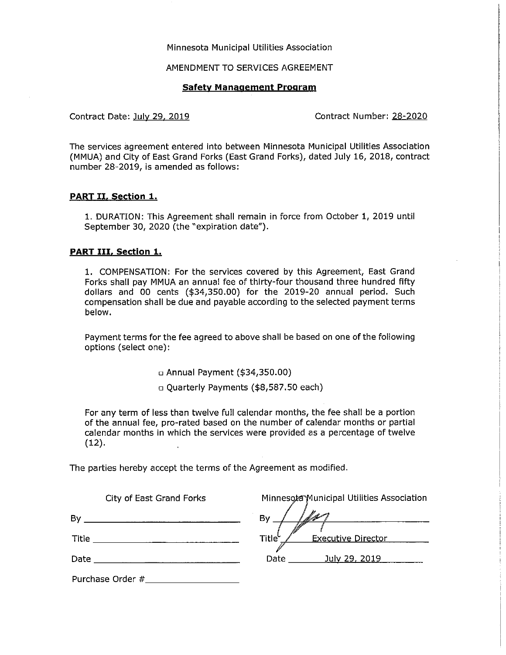### Minnesota Municipal Utilities Association

### AMENDMENT TO SERVICES AGREEMENT

### **Safety Management Program**

Contract Date: July 29, 2019

Contract Number: 28-2020

The services agreement entered into between Minnesota Municipal Utilities Association (MMUA) and City of East Grand Forks (East Grand Forks), dated July 16, 2018, contract number 28-2019, is amended as follows:

### **PART II, Section 1.**

1. DURATION: This Agreement shall remain in force from October 1, 2019 until September 30, 2020 (the "expiration date").

### **PART III, Section 1.**

1. COMPENSATION: For the services covered by this Agreement, East Grand Forks shall pay MMUA an annual fee of thirty-four thousand three hundred fifty dollars and 00 cents (\$34,350.00) for the 2019-20 annual period. Such compensation shall be due and payable according to the selected payment terms below.

Payment terms for the fee agreed to above shall be based on one of the following options (select one):

 $\Box$  Annual Payment (\$34,350.00)

□ Quarterly Payments (\$8,587.50 each)

For any term of less than twelve full calendar months, the fee shall be a portion of the annual fee, pro-rated based on the number of calendar months or partial calendar months in which the services were provided as a percentage of twelve  $(12).$ 

The parties hereby accept the terms of the Agreement as modified.

| City of East Grand Forks | Minnesota Municipal Utilities Association       |
|--------------------------|-------------------------------------------------|
| By                       | By                                              |
| Title                    | Title <sup>L</sup><br><b>Executive Director</b> |
| Date                     | Date<br>July 29, 2019                           |
| Purchase Order #         |                                                 |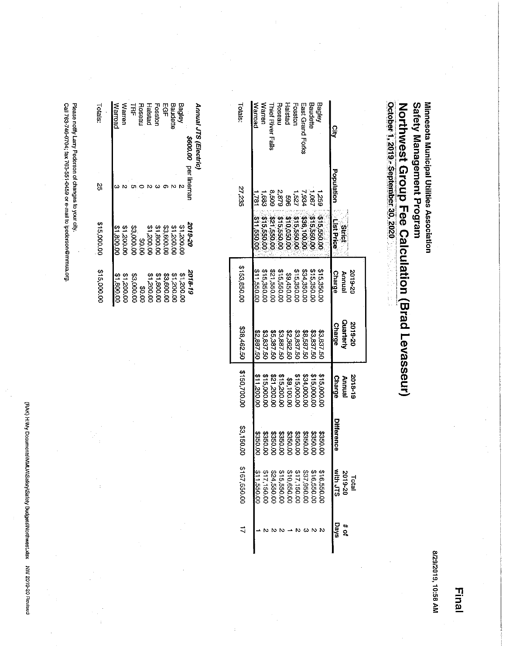(PAK) H.Wy Documents/MMUA\Safety/Safety Budgets/Northwest.xlsx NW 2019-20 Revised

Please notify Larry Pederson of changes to your city.<br>Call 763-746-0704; fax 763-551-0459 or e-mail to Ipederson@mmua.org.

| Annual JTS (Electric) |                      |                  |             |
|-----------------------|----------------------|------------------|-------------|
|                       | \$600.00 per lineman | 2019-20          | 2018-19     |
| Bagiey                |                      | 2000'1\$         | 00'00'1\$   |
| Baudette              |                      | 100718           | 00'00'71\$  |
| 모임<br>무               |                      | <b>33.600.00</b> | \$3,600.00  |
| Fosston               |                      | 10'008'1\$       | 00'008'1\$  |
| Halstad               |                      | 21,200.00        | 00.002.18   |
| <b>Hoseau</b>         |                      | 20.0G            | 00.0\$      |
| 닀                     |                      | 23.000.00        | 00.000.88   |
| <b>Warren</b>         |                      | 31.200.00        | 00'002'1\$  |
| Warroad               |                      | 00.008.13        | 00.008.18   |
| Totals.               | ς,                   | \$15,000.00      | \$15,000.00 |
|                       |                      |                  |             |

| Totals:<br>27,235 | Warroad<br>182 | Warrer<br>¦,68 | <b>Thief River Falls</b> | Roseau      | Halstad<br>$1.527$<br>$2.879$<br>$8.508$<br>$8.508$ | Fosston     | East Grand Forks<br>334 | Baudette<br>$-901$ | <b>Hagley</b><br>75s | City<br>Population                    |
|-------------------|----------------|----------------|--------------------------|-------------|-----------------------------------------------------|-------------|-------------------------|--------------------|----------------------|---------------------------------------|
|                   | 11,550.00      | 10.099.918     | 0.053,158                | 0009918     | 0.050.018                                           | 0.099.90    | 236,100.00              | 315,550.00         | \$15,550.00          | List Price<br><b>Strict</b>           |
| \$153,850.0C      | 0.055,11\$     | \$15,350.00    | \$21,550.00              | \$15,550.00 | 1009450.01                                          | \$15,350.00 | 534,350.00              | \$15,350.0         | \$15,350.0           | Charge<br>2019-20<br>Annual           |
| 538,462.50        | 22,887.50      | 53,837.50      | 25,387.50                | 09.88.50    | 22,362.50                                           | 33,837.50   | <b>38,587.50</b>        | 05' 283' 29        | 33,837.50            | Quarterly<br>2019-20<br><b>Charge</b> |
| \$150,700.00      | \$11,200.00    | \$15,000.00    | 1002123                  | 215,200.00  | \$9,100.00                                          | 315,000.00  | \$34,000.00             | \$15,000.00        | \$15,000.00          | 2018-19<br><b>Charge</b><br>hnual     |
| \$3,150.00        | 0.058          | 0.050.0        | \$350.00                 | 3350.00     | 3350.00                                             | \$350.0C    | 3350.0                  | 109503             | 090.01               | <b>Difference</b>                     |
| 00.056.5913       | 20.055.00      | 0.031,150.00   | 00.054.550.00            | \$15,550.00 | \$10,650.0                                          | \$17,150.00 | 237,950.00              | 316,550.00         | \$16,550.00          | ミロコロ<br>2019-20<br><b>Total</b>       |
|                   |                |                |                          |             |                                                     |             |                         |                    |                      | <b>Days</b><br><u>។</u>               |

8/29/2019, 10:58 AM

Northwest Group Fee Calculation (Brad Levasseur)<br>october 1, 2019 - September 30, 2020

Safety Management Program Minnesota Municipal Utilities Association

**Final**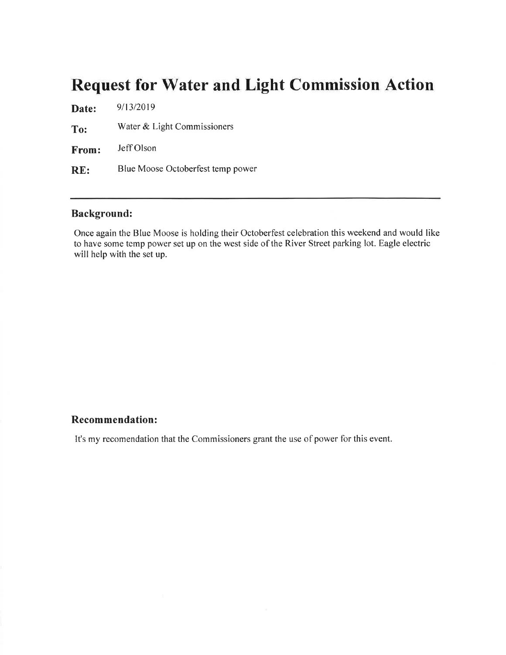## **Request for Water and Light Commission Action**

9/13/2019 Date: Water & Light Commissioners To: Jeff Olson From: Blue Moose Octoberfest temp power RE:

### **Background:**

Once again the Blue Moose is holding their Octoberfest celebration this weekend and would like to have some temp power set up on the west side of the River Street parking lot. Eagle electric will help with the set up.

### **Recommendation:**

It's my recomendation that the Commissioners grant the use of power for this event.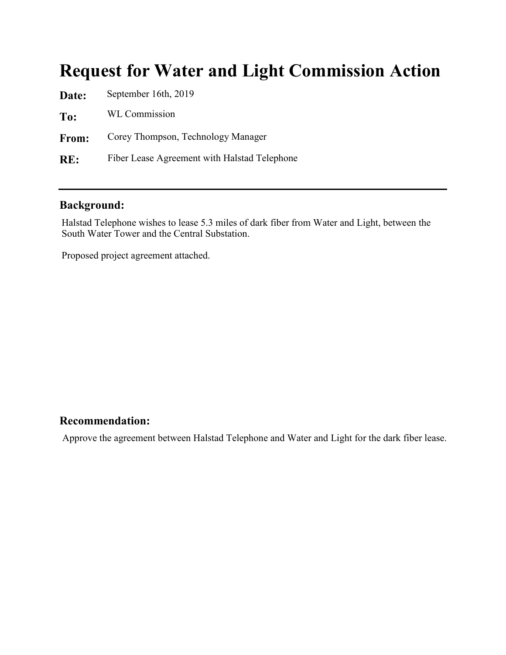## **Request for Water and Light Commission Action**

**Date: To: From: RE:** September 16th, 2019 WL Commission Corey Thompson, Technology Manager Fiber Lease Agreement with Halstad Telephone

### **Background:**

Halstad Telephone wishes to lease 5.3 miles of dark fiber from Water and Light, between the South Water Tower and the Central Substation.

Proposed project agreement attached.

### **Recommendation:**

Approve the agreement between Halstad Telephone and Water and Light for the dark fiber lease.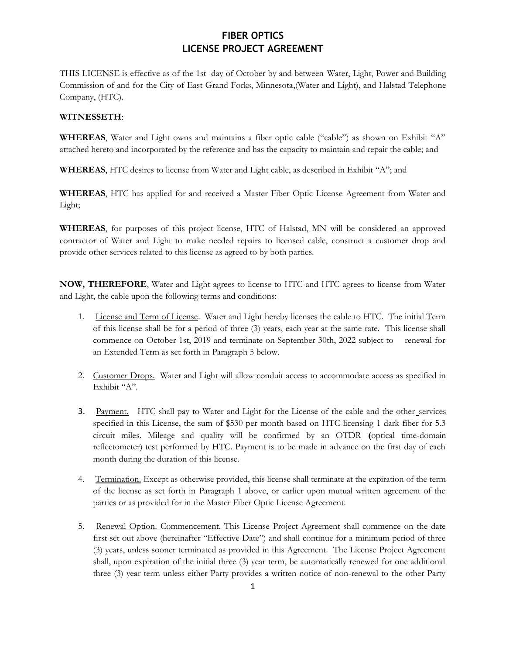### **FIBER OPTICS LICENSE PROJECT AGREEMENT**

THIS LICENSE is effective as of the 1st day of October by and between Water, Light, Power and Building Commission of and for the City of East Grand Forks, Minnesota,(Water and Light), and Halstad Telephone Company, (HTC).

### **WITNESSETH**:

**WHEREAS**, Water and Light owns and maintains a fiber optic cable ("cable") as shown on Exhibit "A" attached hereto and incorporated by the reference and has the capacity to maintain and repair the cable; and

**WHEREAS**, HTC desires to license from Water and Light cable, as described in Exhibit "A"; and

**WHEREAS**, HTC has applied for and received a Master Fiber Optic License Agreement from Water and Light;

**WHEREAS**, for purposes of this project license, HTC of Halstad, MN will be considered an approved contractor of Water and Light to make needed repairs to licensed cable, construct a customer drop and provide other services related to this license as agreed to by both parties.

**NOW, THEREFORE**, Water and Light agrees to license to HTC and HTC agrees to license from Water and Light, the cable upon the following terms and conditions:

- 1. License and Term of License. Water and Light hereby licenses the cable to HTC. The initial Term of this license shall be for a period of three (3) years, each year at the same rate. This license shall commence on October 1st, 2019 and terminate on September 30th, 2022 subject to renewal for an Extended Term as set forth in Paragraph 5 below.
- 2. Customer Drops. Water and Light will allow conduit access to accommodate access as specified in Exhibit "A".
- 3. Payment. HTC shall pay to Water and Light for the License of the cable and the other services specified in this License, the sum of \$530 per month based on HTC licensing 1 dark fiber for 5.3 circuit miles. Mileage and quality will be confirmed by an OTDR **(**optical time-domain reflectometer) test performed by HTC. Payment is to be made in advance on the first day of each month during the duration of this license.
- 4. Termination. Except as otherwise provided, this license shall terminate at the expiration of the term of the license as set forth in Paragraph 1 above, or earlier upon mutual written agreement of the parties or as provided for in the Master Fiber Optic License Agreement.
- 5. Renewal Option. Commencement. This License Project Agreement shall commence on the date first set out above (hereinafter "Effective Date") and shall continue for a minimum period of three (3) years, unless sooner terminated as provided in this Agreement. The License Project Agreement shall, upon expiration of the initial three (3) year term, be automatically renewed for one additional three (3) year term unless either Party provides a written notice of non-renewal to the other Party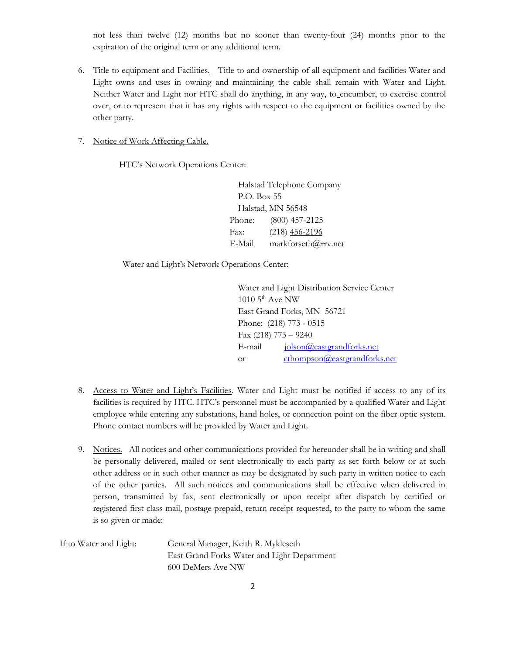not less than twelve (12) months but no sooner than twenty-four (24) months prior to the expiration of the original term or any additional term.

- 6. Title to equipment and Facilities. Title to and ownership of all equipment and facilities Water and Light owns and uses in owning and maintaining the cable shall remain with Water and Light. Neither Water and Light nor HTC shall do anything, in any way, to encumber, to exercise control over, or to represent that it has any rights with respect to the equipment or facilities owned by the other party.
- 7. Notice of Work Affecting Cable.

HTC's Network Operations Center:

Halstad Telephone Company P.O. Box 55 Halstad, MN 56548 Phone: (800) 457-2125 Fax: (218) 456-2196 E-Mail markforseth@rrv.net

Water and Light's Network Operations Center:

 Water and Light Distribution Service Center  $1010$  5<sup>th</sup> Ave NW East Grand Forks, MN 56721 Phone: (218) 773 - 0515 Fax (218) 773 – 9240 E-mail [jolson@eastgrandforks.net](mailto:sgravseth@eastgrandforks.net) or [cthompson@eastgrandforks.net](mailto:cthompson@eastgrandforks.net)

- 8. Access to Water and Light's Facilities. Water and Light must be notified if access to any of its facilities is required by HTC. HTC's personnel must be accompanied by a qualified Water and Light employee while entering any substations, hand holes, or connection point on the fiber optic system. Phone contact numbers will be provided by Water and Light.
- 9. Notices. All notices and other communications provided for hereunder shall be in writing and shall be personally delivered, mailed or sent electronically to each party as set forth below or at such other address or in such other manner as may be designated by such party in written notice to each of the other parties. All such notices and communications shall be effective when delivered in person, transmitted by fax, sent electronically or upon receipt after dispatch by certified or registered first class mail, postage prepaid, return receipt requested, to the party to whom the same is so given or made:

| If to Water and Light: | General Manager, Keith R. Mykleseth         |
|------------------------|---------------------------------------------|
|                        | East Grand Forks Water and Light Department |
|                        | 600 DeMers Ave NW                           |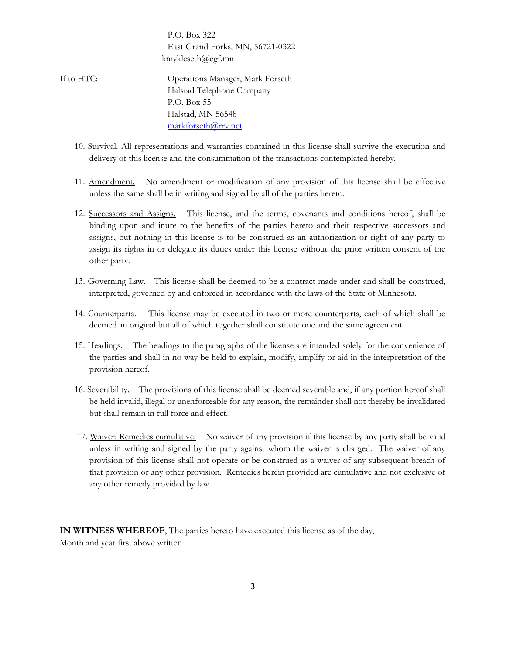P.O. Box 322 East Grand Forks, MN, 56721-0322 kmykleseth@egf.mn

- If to HTC: Operations Manager, Mark Forseth Halstad Telephone Company P.O. Box 55 Halstad, MN 56548 [markforseth@rrv.net](mailto:markforseth@rrv.net) 
	- 10. Survival. All representations and warranties contained in this license shall survive the execution and delivery of this license and the consummation of the transactions contemplated hereby.
	- 11. Amendment. No amendment or modification of any provision of this license shall be effective unless the same shall be in writing and signed by all of the parties hereto.
	- 12. Successors and Assigns. This license, and the terms, covenants and conditions hereof, shall be binding upon and inure to the benefits of the parties hereto and their respective successors and assigns, but nothing in this license is to be construed as an authorization or right of any party to assign its rights in or delegate its duties under this license without the prior written consent of the other party.
	- 13. Governing Law. This license shall be deemed to be a contract made under and shall be construed, interpreted, governed by and enforced in accordance with the laws of the State of Minnesota.
	- 14. Counterparts. This license may be executed in two or more counterparts, each of which shall be deemed an original but all of which together shall constitute one and the same agreement.
	- 15. Headings. The headings to the paragraphs of the license are intended solely for the convenience of the parties and shall in no way be held to explain, modify, amplify or aid in the interpretation of the provision hereof.
	- 16. Severability. The provisions of this license shall be deemed severable and, if any portion hereof shall be held invalid, illegal or unenforceable for any reason, the remainder shall not thereby be invalidated but shall remain in full force and effect.
	- 17. Waiver; Remedies cumulative. No waiver of any provision if this license by any party shall be valid unless in writing and signed by the party against whom the waiver is charged. The waiver of any provision of this license shall not operate or be construed as a waiver of any subsequent breach of that provision or any other provision. Remedies herein provided are cumulative and not exclusive of any other remedy provided by law.

**IN WITNESS WHEREOF**, The parties hereto have executed this license as of the day, Month and year first above written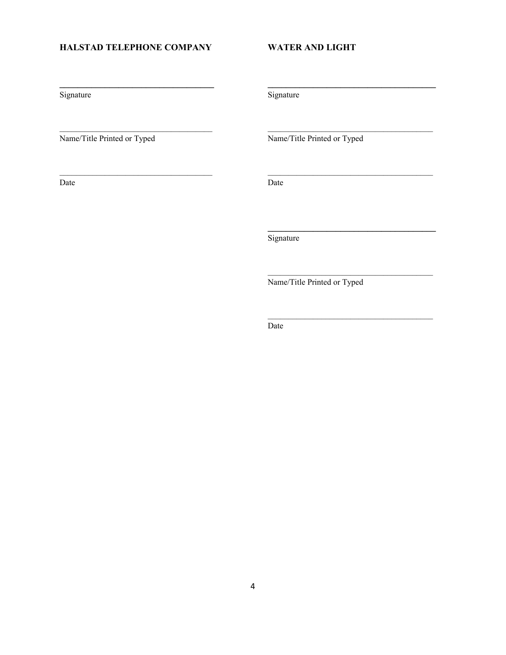### HALSTAD TELEPHONE COMPANY

Signature

Name/Title Printed or Typed

Date

**WATER AND LIGHT** 

Signature

Name/Title Printed or Typed

Date

Signature

Name/Title Printed or Typed

Date